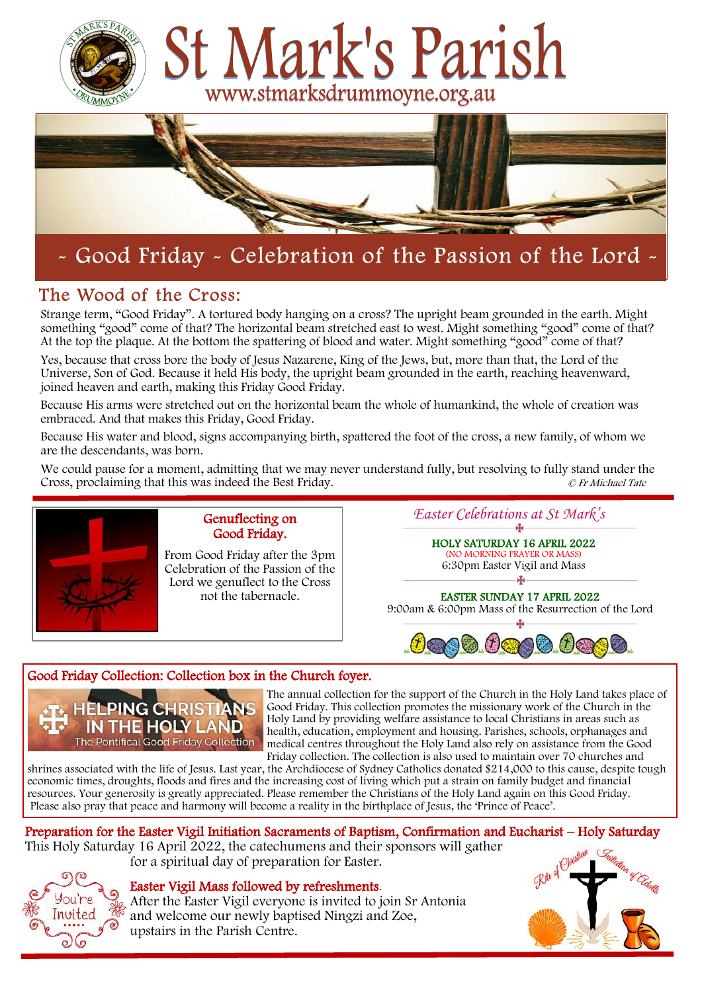



# - Good Friday - Celebration of the Passion of the Lord -

# The Wood of the Cross:

Strange term, "Good Friday". A tortured body hanging on a cross? The upright beam grounded in the earth. Might something "good" come of that? The horizontal beam stretched east to west. Might something "good" come of that? At the top the plaque. At the bottom the spattering of blood and water. Might something "good" come of that?

Yes, because that cross bore the body of Jesus Nazarene, King of the Jews, but, more than that, the Lord of the Universe, Son of God. Because it held His body, the upright beam grounded in the earth, reaching heavenward, joined heaven and earth, making this Friday Good Friday.

Because His arms were stretched out on the horizontal beam the whole of humankind, the whole of creation was embraced. And that makes this Friday, Good Friday.

Because His water and blood, signs accompanying birth, spattered the foot of the cross, a new family, of whom we are the descendants, was born.

We could pause for a moment, admitting that we may never understand fully, but resolving to fully stand under the Cross, proclaiming that this was indeed the Best Friday. © Fr Michael Tate



# Genuflecting on Good Friday.

From Good Friday after the 3pm Celebration of the Passion of the Lord we genuflect to the Cross not the tabernacle.

*Easter Celebrations at St Mark's* 

HOLY SATURDAY 16 APRIL 2022 (NO MORNING PRAYER OR MASS) 6:30pm Easter Vigil and Mass  $\mathbf{A}$ 

EASTER SUNDAY 17 APRIL 2022 9:00am & 6:00pm Mass of the Resurrection of the Lord



# Good Friday Collection: Collection box in the Church foyer.



The annual collection for the support of the Church in the Holy Land takes place of Good Friday. This collection promotes the missionary work of the Church in the Holy Land by providing welfare assistance to local Christians in areas such as health, education, employment and housing. Parishes, schools, orphanages and medical centres throughout the Holy Land also rely on assistance from the Good Friday collection. The collection is also used to maintain over 70 churches and

shrines associated with the life of Jesus. Last year, the Archdiocese of Sydney Catholics donated \$214,000 to this cause, despite tough economic times, droughts, floods and fires and the increasing cost of living which put a strain on family budget and financial resources. Your generosity is greatly appreciated. Please remember the Christians of the Holy Land again on this Good Friday. Please also pray that peace and harmony will become a reality in the birthplace of Jesus, the 'Prince of Peace'.

Preparation for the Easter Vigil Initiation Sacraments of Baptism, Confirmation and Eucharist – Holy Saturday This Holy Saturday 16 April 2022, the catechumens and their sponsors will gather for a spiritual day of preparation for Easter.



# Easter Vigil Mass followed by refreshments.

After the Easter Vigil everyone is invited to join Sr Antonia and welcome our newly baptised Ningzi and Zoe, upstairs in the Parish Centre.

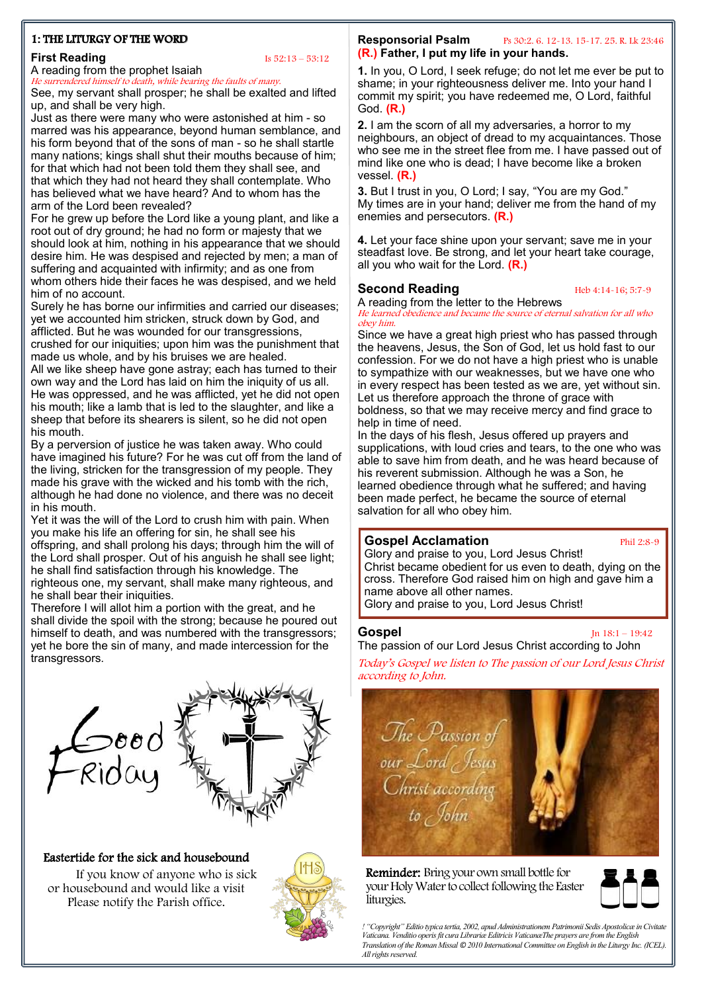# 1: THE LITURGY OF THE WORD

# **First Reading** Is  $52:13 - 53:12$

A reading from the prophet Isaiah He surrendered himself to death, while bearing the faults of many.

See, my servant shall prosper; he shall be exalted and lifted up, and shall be very high.

Just as there were many who were astonished at him - so marred was his appearance, beyond human semblance, and his form beyond that of the sons of man - so he shall startle many nations; kings shall shut their mouths because of him; for that which had not been told them they shall see, and that which they had not heard they shall contemplate. Who has believed what we have heard? And to whom has the arm of the Lord been revealed?

For he grew up before the Lord like a young plant, and like a root out of dry ground; he had no form or majesty that we should look at him, nothing in his appearance that we should desire him. He was despised and rejected by men; a man of suffering and acquainted with infirmity; and as one from whom others hide their faces he was despised, and we held him of no account.

Surely he has borne our infirmities and carried our diseases; yet we accounted him stricken, struck down by God, and afflicted. But he was wounded for our transgressions, crushed for our iniquities; upon him was the punishment that made us whole, and by his bruises we are healed. All we like sheep have gone astray; each has turned to their own way and the Lord has laid on him the iniquity of us all. He was oppressed, and he was afflicted, yet he did not open his mouth; like a lamb that is led to the slaughter, and like a sheep that before its shearers is silent, so he did not open his mouth.

By a perversion of justice he was taken away. Who could have imagined his future? For he was cut off from the land of the living, stricken for the transgression of my people. They made his grave with the wicked and his tomb with the rich, although he had done no violence, and there was no deceit in his mouth.

Yet it was the will of the Lord to crush him with pain. When you make his life an offering for sin, he shall see his offspring, and shall prolong his days; through him the will of the Lord shall prosper. Out of his anguish he shall see light; he shall find satisfaction through his knowledge. The righteous one, my servant, shall make many righteous, and he shall bear their iniquities.

Therefore I will allot him a portion with the great, and he shall divide the spoil with the strong; because he poured out himself to death, and was numbered with the transgressors; yet he bore the sin of many, and made intercession for the transgressors.



# Eastertide for the sick and housebound

 If you know of anyone who is sick or housebound and would like a visit Please notify the Parish office.



# **Responsorial Psalm** Ps 30:2. 6. 12-13. 15-17. 25. R. Lk 23:46 **(R.) Father, I put my life in your hands.**

 **1.** In you, O Lord, I seek refuge; do not let me ever be put to shame; in your righteousness deliver me. Into your hand I commit my spirit; you have redeemed me, O Lord, faithful God. **(R.)**

**2.** I am the scorn of all my adversaries, a horror to my neighbours, an object of dread to my acquaintances. Those who see me in the street flee from me. I have passed out of mind like one who is dead; I have become like a broken vessel. **(R.)**

**3.** But I trust in you, O Lord; I say, "You are my God." My times are in your hand; deliver me from the hand of my enemies and persecutors. **(R.)**

**4.** Let your face shine upon your servant; save me in your steadfast love. Be strong, and let your heart take courage, all you who wait for the Lord. **(R.)**

# **Second Reading** Heb 4:14-16; 5:7-9

A reading from the letter to the Hebrews He learned obedience and became the source of eternal salvation for all who obey him.

Since we have a great high priest who has passed through the heavens, Jesus, the Son of God, let us hold fast to our confession. For we do not have a high priest who is unable to sympathize with our weaknesses, but we have one who in every respect has been tested as we are, yet without sin. Let us therefore approach the throne of grace with boldness, so that we may receive mercy and find grace to help in time of need.

In the days of his flesh, Jesus offered up prayers and supplications, with loud cries and tears, to the one who was able to save him from death, and he was heard because of his reverent submission. Although he was a Son, he learned obedience through what he suffered; and having been made perfect, he became the source of eternal salvation for all who obey him.

# **Gospel Acclamation Phil 2:8-9**

Glory and praise to you, Lord Jesus Christ! Christ became obedient for us even to death, dying on the cross. Therefore God raised him on high and gave him a name above all other names. Glory and praise to you, Lord Jesus Christ!

# **Gospel** Jn 18:1 – 19:42

The passion of our Lord Jesus Christ according to John

Today's Gospel we listen to The passion of our Lord Jesus Christ according to John.



Reminder: Bring your own small bottle for your Holy Water to collect following the Easter liturgies.



*! "Copyright" Editio typica tertia, 2002, apud Administrationem Patrimonii Sedis Apostolicæ in Civitate Vaticana. Venditio operis fit cura Librariæ Editricis VaticanæThe prayers are from the English Translation of the Roman Missal ©2010 International Committee on English in the Liturgy Inc. (ICEL). All rights reserved.*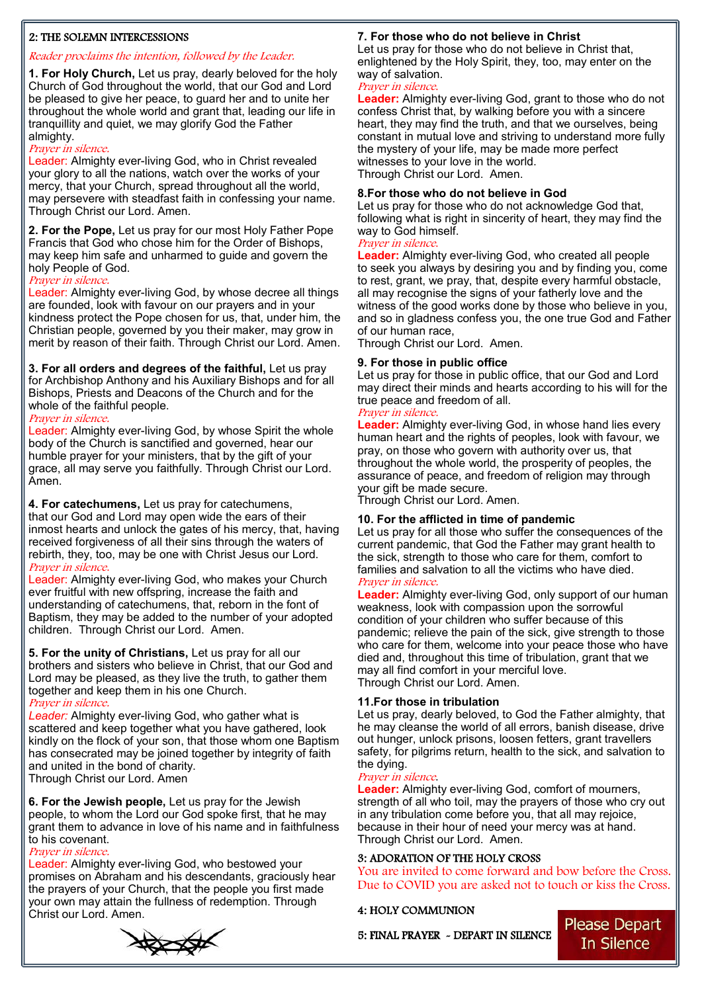# 2: THE SOLEMN INTERCESSIONS

# Reader proclaims the intention, followed by the Leader.

**1. For Holy Church,** Let us pray, dearly beloved for the holy Church of God throughout the world, that our God and Lord be pleased to give her peace, to guard her and to unite her throughout the whole world and grant that, leading our life in tranquillity and quiet, we may glorify God the Father almighty.

# Prayer in silence.

Leader: Almighty ever-living God, who in Christ revealed your glory to all the nations, watch over the works of your mercy, that your Church, spread throughout all the world, may persevere with steadfast faith in confessing your name. Through Christ our Lord. Amen.

**2. For the Pope,** Let us pray for our most Holy Father Pope Francis that God who chose him for the Order of Bishops, may keep him safe and unharmed to guide and govern the holy People of God.

# Prayer in silence.

Leader: Almighty ever-living God, by whose decree all things are founded, look with favour on our prayers and in your kindness protect the Pope chosen for us, that, under him, the Christian people, governed by you their maker, may grow in merit by reason of their faith. Through Christ our Lord. Amen.

#### **3. For all orders and degrees of the faithful,** Let us pray for Archbishop Anthony and his Auxiliary Bishops and for all Bishops, Priests and Deacons of the Church and for the whole of the faithful people.

#### Prayer in silence.

Leader: Almighty ever-living God, by whose Spirit the whole body of the Church is sanctified and governed, hear our humble prayer for your ministers, that by the gift of your grace, all may serve you faithfully. Through Christ our Lord. Amen.

**4. For catechumens,** Let us pray for catechumens, that our God and Lord may open wide the ears of their inmost hearts and unlock the gates of his mercy, that, having received forgiveness of all their sins through the waters of rebirth, they, too, may be one with Christ Jesus our Lord. Prayer in silence.

Leader: Almighty ever-living God, who makes your Church ever fruitful with new offspring, increase the faith and understanding of catechumens, that, reborn in the font of Baptism, they may be added to the number of your adopted children. Through Christ our Lord. Amen.

**5. For the unity of Christians,** Let us pray for all our brothers and sisters who believe in Christ, that our God and Lord may be pleased, as they live the truth, to gather them together and keep them in his one Church.

# Prayer in silence.

*Leader:* Almighty ever-living God, who gather what is scattered and keep together what you have gathered, look kindly on the flock of your son, that those whom one Baptism has consecrated may be joined together by integrity of faith and united in the bond of charity. Through Christ our Lord. Amen

**6. For the Jewish people,** Let us pray for the Jewish people, to whom the Lord our God spoke first, that he may grant them to advance in love of his name and in faithfulness to his covenant.

# Prayer in silence.

Leader: Almighty ever-living God, who bestowed your promises on Abraham and his descendants, graciously hear the prayers of your Church, that the people you first made your own may attain the fullness of redemption. Through Christ our Lord. Amen.

# **7. For those who do not believe in Christ**

Let us pray for those who do not believe in Christ that, enlightened by the Holy Spirit, they, too, may enter on the way of salvation.

#### Prayer in silence.

**Leader:** Almighty ever-living God, grant to those who do not confess Christ that, by walking before you with a sincere heart, they may find the truth, and that we ourselves, being constant in mutual love and striving to understand more fully the mystery of your life, may be made more perfect witnesses to your love in the world. Through Christ our Lord. Amen.

# **8.For those who do not believe in God**

Let us pray for those who do not acknowledge God that, following what is right in sincerity of heart, they may find the way to God himself.

#### Prayer in silence.

**Leader:** Almighty ever-living God, who created all people to seek you always by desiring you and by finding you, come to rest, grant, we pray, that, despite every harmful obstacle, all may recognise the signs of your fatherly love and the witness of the good works done by those who believe in you, and so in gladness confess you, the one true God and Father of our human race,

Through Christ our Lord. Amen.

# **9. For those in public office**

Let us pray for those in public office, that our God and Lord may direct their minds and hearts according to his will for the true peace and freedom of all.

# Prayer in silence.

**Leader:** Almighty ever-living God, in whose hand lies every human heart and the rights of peoples, look with favour, we pray, on those who govern with authority over us, that throughout the whole world, the prosperity of peoples, the assurance of peace, and freedom of religion may through your gift be made secure.

Through Christ our Lord. Amen.

# **10. For the afflicted in time of pandemic**

Let us pray for all those who suffer the consequences of the current pandemic, that God the Father may grant health to the sick, strength to those who care for them, comfort to families and salvation to all the victims who have died. Prayer in silence.

#### **Leader:** Almighty ever-living God, only support of our human weakness, look with compassion upon the sorrowful condition of your children who suffer because of this pandemic; relieve the pain of the sick, give strength to those who care for them, welcome into your peace those who have died and, throughout this time of tribulation, grant that we may all find comfort in your merciful love. Through Christ our Lord. Amen.

# **11.For those in tribulation**

Let us pray, dearly beloved, to God the Father almighty, that he may cleanse the world of all errors, banish disease, drive out hunger, unlock prisons, loosen fetters, grant travellers safety, for pilgrims return, health to the sick, and salvation to the dying.

# Prayer in silence.

**Leader:** Almighty ever-living God, comfort of mourners, strength of all who toil, may the prayers of those who cry out in any tribulation come before you, that all may rejoice, because in their hour of need your mercy was at hand. Through Christ our Lord. Amen.

# 3: ADORATION OF THE HOLY CROSS

You are invited to come forward and bow before the Cross. Due to COVID you are asked not to touch or kiss the Cross.

# 4: HOLY COMMUNION

5: FINAL PRAYER ~ DEPART IN SILENCE